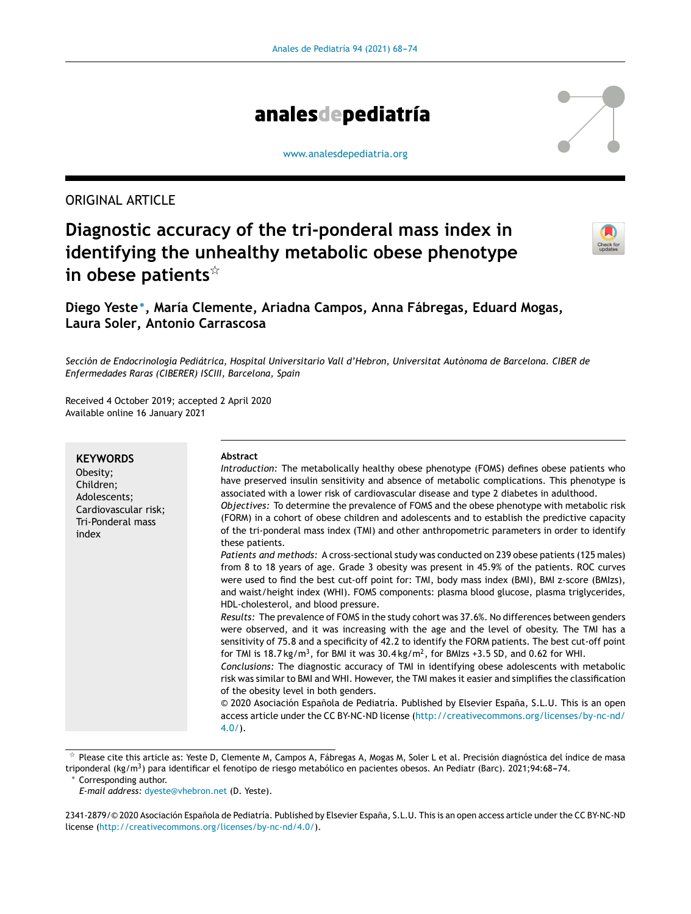

[www.analesdepediatria.org](http://www.analesdepediatria.org)

# ORIGINAL ARTICLE

# **Diagnostic accuracy of the tri-ponderal mass index in identifying the unhealthy metabolic obese phenotype in obese patients**-



# **Diego Yeste**<sup>∗</sup> **, María Clemente, Ariadna Campos, Anna Fábregas, Eduard Mogas, Laura Soler, Antonio Carrascosa**

*Sección de Endocrinología Pediátrica, Hospital Universitario Vall d'Hebron, Universitat Autònoma de Barcelona. CIBER de Enfermedades Raras (CIBERER) ISCIII, Barcelona, Spain*

Received 4 October 2019; accepted 2 April 2020 Available online 16 January 2021

| <b>KEYWORDS</b><br>Obesity;<br>Children;<br>Adolescents;<br>Cardiovascular risk;<br>Tri-Ponderal mass<br>index | Abstract<br>Introduction: The metabolically healthy obese phenotype (FOMS) defines obese patients who<br>have preserved insulin sensitivity and absence of metabolic complications. This phenotype is<br>associated with a lower risk of cardiovascular disease and type 2 diabetes in adulthood.<br>Objectives: To determine the prevalence of FOMS and the obese phenotype with metabolic risk<br>(FORM) in a cohort of obese children and adolescents and to establish the predictive capacity<br>of the tri-ponderal mass index (TMI) and other anthropometric parameters in order to identify<br>these patients.<br>Patients and methods: A cross-sectional study was conducted on 239 obese patients (125 males)<br>from 8 to 18 years of age. Grade 3 obesity was present in 45.9% of the patients. ROC curves<br>were used to find the best cut-off point for: TMI, body mass index (BMI), BMI z-score (BMIzs),<br>and waist/height index (WHI). FOMS components: plasma blood glucose, plasma triglycerides,<br>HDL-cholesterol, and blood pressure.<br>Results: The prevalence of FOMS in the study cohort was 37.6%. No differences between genders<br>were observed, and it was increasing with the age and the level of obesity. The TMI has a<br>sensitivity of 75.8 and a specificity of 42.2 to identify the FORM patients. The best cut-off point<br>for TMI is 18.7 kg/m <sup>3</sup> , for BMI it was $30.4 \text{ kg/m}^2$ , for BMIzs +3.5 SD, and 0.62 for WHI.<br>Conclusions: The diagnostic accuracy of TMI in identifying obese adolescents with metabolic<br>risk was similar to BMI and WHI. However, the TMI makes it easier and simplifies the classification<br>of the obesity level in both genders.<br>© 2020 Asociación Española de Pediatría. Published by Elsevier España, S.L.U. This is an open<br>access article under the CC BY-NC-ND license (http://creativecommons.org/licenses/by-nc-nd/<br>$4.0/$ ). |
|----------------------------------------------------------------------------------------------------------------|---------------------------------------------------------------------------------------------------------------------------------------------------------------------------------------------------------------------------------------------------------------------------------------------------------------------------------------------------------------------------------------------------------------------------------------------------------------------------------------------------------------------------------------------------------------------------------------------------------------------------------------------------------------------------------------------------------------------------------------------------------------------------------------------------------------------------------------------------------------------------------------------------------------------------------------------------------------------------------------------------------------------------------------------------------------------------------------------------------------------------------------------------------------------------------------------------------------------------------------------------------------------------------------------------------------------------------------------------------------------------------------------------------------------------------------------------------------------------------------------------------------------------------------------------------------------------------------------------------------------------------------------------------------------------------------------------------------------------------------------------------------------------------------------------------------------------------------------------------------------------------------------------------------------------------------------------|
|----------------------------------------------------------------------------------------------------------------|---------------------------------------------------------------------------------------------------------------------------------------------------------------------------------------------------------------------------------------------------------------------------------------------------------------------------------------------------------------------------------------------------------------------------------------------------------------------------------------------------------------------------------------------------------------------------------------------------------------------------------------------------------------------------------------------------------------------------------------------------------------------------------------------------------------------------------------------------------------------------------------------------------------------------------------------------------------------------------------------------------------------------------------------------------------------------------------------------------------------------------------------------------------------------------------------------------------------------------------------------------------------------------------------------------------------------------------------------------------------------------------------------------------------------------------------------------------------------------------------------------------------------------------------------------------------------------------------------------------------------------------------------------------------------------------------------------------------------------------------------------------------------------------------------------------------------------------------------------------------------------------------------------------------------------------------------|

 $^\star$  Please cite this article as: Yeste D, Clemente M, Campos A, Fábregas A, Mogas M, Soler L et al. Precisión diagnóstica del índice de masa triponderal (kg/m<sup>3</sup>) para identificar el fenotipo de riesgo metabólico en pacientes obesos. An Pediatr (Barc). 2021;94:68–74.

Corresponding author.

*E-mail address:* [dyeste@vhebron.net](mailto:dyeste@vhebron.net) (D. Yeste).

2341-2879/© 2020 Asociación Española de Pediatría. Published by Elsevier España, S.L.U. This is an open access article under the CC BY-NC-ND license (<http://creativecommons.org/licenses/by-nc-nd/4.0/>).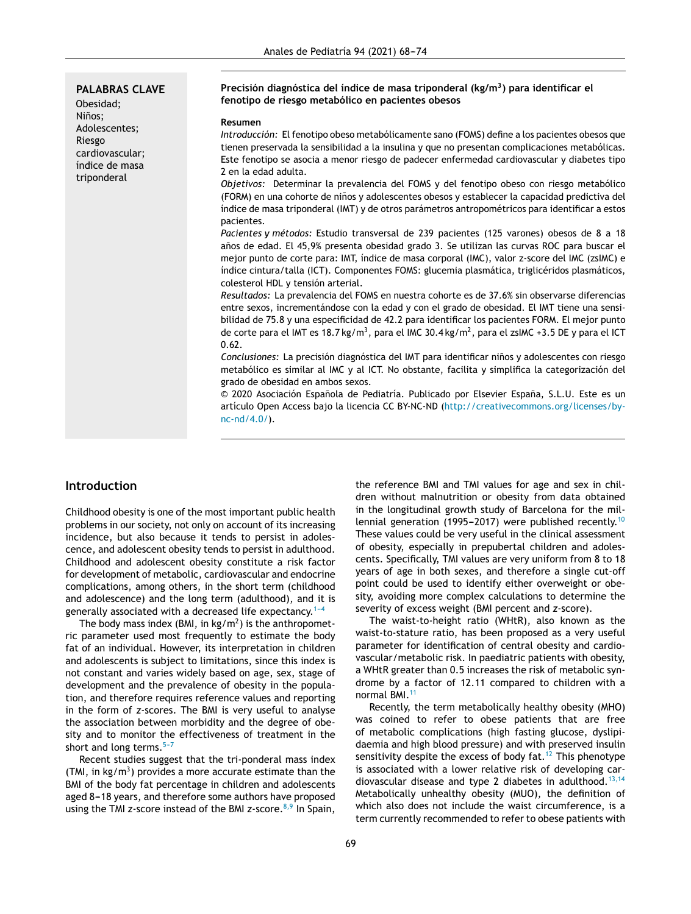**PALABRAS CLAVE** Obesidad; Niños; Adolescentes; Riesgo cardiovascular; índice de masa triponderal

#### **Precisión diagnóstica del índice de masa triponderal (kg/m<sup>3</sup> ) para identificar el fenotipo de riesgo metabólico en pacientes obesos**

#### **Resumen**

*Introducción:* El fenotipo obeso metabólicamente sano (FOMS) define a los pacientes obesos que tienen preservada la sensibilidad a la insulina y que no presentan complicaciones metabólicas. Este fenotipo se asocia a menor riesgo de padecer enfermedad cardiovascular y diabetes tipo 2 en la edad adulta.

*Objetivos:* Determinar la prevalencia del FOMS y del fenotipo obeso con riesgo metabólico (FORM) en una cohorte de niños y adolescentes obesos y establecer la capacidad predictiva del índice de masa triponderal (IMT) y de otros parámetros antropométricos para identificar a estos pacientes.

*Pacientes y métodos:* Estudio transversal de 239 pacientes (125 varones) obesos de 8 a 18 años de edad. El 45,9% presenta obesidad grado 3. Se utilizan las curvas ROC para buscar el mejor punto de corte para: IMT, índice de masa corporal (IMC), valor z-score del IMC (zsIMC) e índice cintura/talla (ICT). Componentes FOMS: glucemia plasmática, triglicéridos plasmáticos, colesterol HDL y tensión arterial.

*Resultados:* La prevalencia del FOMS en nuestra cohorte es de 37.6% sin observarse diferencias entre sexos, incrementándose con la edad y con el grado de obesidad. El IMT tiene una sensibilidad de 75.8 y una especificidad de 42.2 para identificar los pacientes FORM. El mejor punto de corte para el IMT es 18.7 kg/m<sup>3</sup>, para el IMC 30.4 kg/m<sup>2</sup>, para el zsIMC +3.5 DE y para el ICT 0.62.

*Conclusiones:* La precisión diagnóstica del IMT para identificar ninos ˜ y adolescentes con riesgo metabólico es similar al IMC y al ICT. No obstante, facilita y simplifica la categorización del grado de obesidad en ambos sexos.

© 2020 Asociación Española de Pediatría. Publicado por Elsevier España, S.L.U. Este es un artículo Open Access bajo la licencia CC BY-NC-ND [\(http://creativecommons.org/licenses/by](http://creativecommons.org/licenses/by-nc-nd/4.0/)[nc-nd/4.0/](http://creativecommons.org/licenses/by-nc-nd/4.0/)).

# **Introduction**

Childhood obesity is one of the most important public health problems in our society, not only on account of its increasing incidence, but also because it tends to persist in adolescence, and adolescent obesity tends to persist in adulthood. Childhood and adolescent obesity constitute a risk factor for development of metabolic, cardiovascular and endocrine complications, among others, in the short term (childhood and adolescence) and the long term (adulthood), and it is generally associated with a decreased life expectancy.<sup>1-4</sup>

The body mass index (BMI, in  $kg/m^2$ ) is the anthropometric parameter used most frequently to estimate the body fat of an individual. However, its interpretation in children and adolescents is subject to limitations, since this index is not constant and varies widely based on age, sex, stage of development and the prevalence of obesity in the population, and therefore requires reference values and reporting in the form of *z*-scores. The BMI is very useful to analyse the association between morbidity and the degree of obesity and to monitor the effectiveness of treatment in the short and long terms. $5-7$ 

Recent studies suggest that the tri-ponderal mass index (TMI, in kg/m<sup>3</sup>) provides a more accurate estimate than the BMI of the body fat percentage in children and adolescents aged 8-18 years, and therefore some authors have proposed using the TMI *z*-score instead of the BMI *z*-score.<sup>[8,9](#page-5-0)</sup> In Spain,

the reference BMI and TMI values for age and sex in children without malnutrition or obesity from data obtained in the longitudinal growth study of Barcelona for the mil-lennial generation (1995-2017) were published recently.<sup>[10](#page-5-0)</sup> These values could be very useful in the clinical assessment of obesity, especially in prepubertal children and adolescents. Specifically, TMI values are very uniform from 8 to 18 years of age in both sexes, and therefore a single cut-off point could be used to identify either overweight or obesity, avoiding more complex calculations to determine the severity of excess weight (BMI percent and *z*-score).

The waist-to-height ratio (WHtR), also known as the waist-to-stature ratio, has been proposed as a very useful parameter for identification of central obesity and cardiovascular/metabolic risk. In paediatric patients with obesity, a WHtR greater than 0.5 increases the risk of metabolic syndrome by a factor of 12.11 compared to children with a normal BMI.<sup>[11](#page-5-0)</sup>

Recently, the term metabolically healthy obesity (MHO) was coined to refer to obese patients that are free of metabolic complications (high fasting glucose, dyslipidaemia and high blood pressure) and with preserved insulin sensitivity despite the excess of body  $fat.^{12}$  $fat.^{12}$  $fat.^{12}$  This phenotype is associated with a lower relative risk of developing car-diovascular disease and type 2 diabetes in adulthood.<sup>[13,14](#page-5-0)</sup> Metabolically unhealthy obesity (MUO), the definition of which also does not include the waist circumference, is a term currently recommended to refer to obese patients with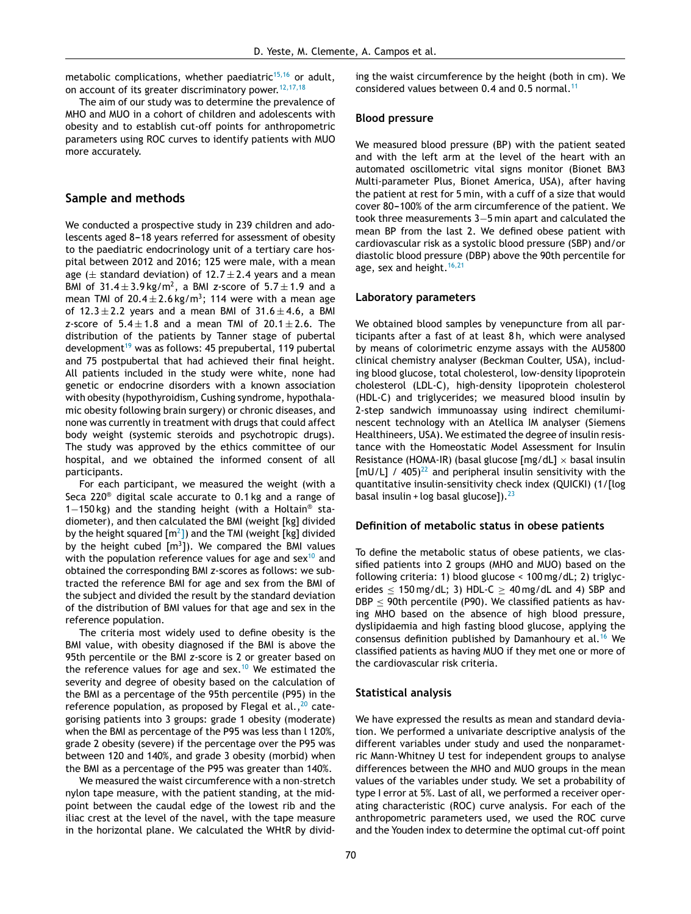metabolic complications, whether paediatric $15,16$  or adult. on account of its greater discriminatory power.  $12,17,18$ 

The aim of our study was to determine the prevalence of MHO and MUO in a cohort of children and adolescents with obesity and to establish cut-off points for anthropometric parameters using ROC curves to identify patients with MUO more accurately.

# **Sample and methods**

We conducted a prospective study in 239 children and adolescents aged 8-18 years referred for assessment of obesity to the paediatric endocrinology unit of a tertiary care hospital between 2012 and 2016; 125 were male, with a mean age ( $\pm$  standard deviation) of 12.7  $\pm$  2.4 years and a mean BMI of 31.4 $\pm$ 3.9kg/m<sup>2</sup>, a BMI *z*-score of 5.7 $\pm$ 1.9 and a mean TMI of 20.4 $\pm$ 2.6 kg/m<sup>3</sup>; 114 were with a mean age of  $12.3 \pm 2.2$  years and a mean BMI of  $31.6 \pm 4.6$ , a BMI *z*-score of  $5.4 \pm 1.8$  and a mean TMI of  $20.1 \pm 2.6$ . The distribution of the patients by Tanner stage of pubertal development<sup>[19](#page-5-0)</sup> was as follows: 45 prepubertal, 119 pubertal and 75 postpubertal that had achieved their final height. All patients included in the study were white, none had genetic or endocrine disorders with a known association with obesity (hypothyroidism, Cushing syndrome, hypothalamic obesity following brain surgery) or chronic diseases, and none was currently in treatment with drugs that could affect body weight (systemic steroids and psychotropic drugs). The study was approved by the ethics committee of our hospital, and we obtained the informed consent of all participants.

For each participant, we measured the weight (with a Seca 220® digital scale accurate to 0.1 kg and a range of 1−150 kg) and the standing height (with a Holtain® stadiometer), and then calculated the BMI (weight [kg] divided by the height squared [m $^2$ [\]\)](#page-5-0) and the TMI (weight [kg] divided by the height cubed  $[m^3]$ ). We compared the BMI values with the population reference values for age and  $sex^{10}$  $sex^{10}$  $sex^{10}$  and obtained the corresponding BMI *z*-scores as follows: we subtracted the reference BMI for age and sex from the BMI of the subject and divided the result by the standard deviation of the distribution of BMI values for that age and sex in the reference population.

The criteria most widely used to define obesity is the BMI value, with obesity diagnosed if the BMI is above the 95th percentile or the BMI *z*-score is 2 or greater based on the reference values for age and sex.<sup>[10](#page-5-0)</sup> We estimated the severity and degree of obesity based on the calculation of the BMI as a percentage of the 95th percentile (P95) in the reference population, as proposed by Flegal et al., $^{20}$  $^{20}$  $^{20}$  categorising patients into 3 groups: grade 1 obesity (moderate) when the BMI as percentage of the P95 was less than l 120%, grade 2 obesity (severe) if the percentage over the P95 was between 120 and 140%, and grade 3 obesity (morbid) when the BMI as a percentage of the P95 was greater than 140%.

We measured the waist circumference with a non-stretch nylon tape measure, with the patient standing, at the midpoint between the caudal edge of the lowest rib and the iliac crest at the level of the navel, with the tape measure in the horizontal plane. We calculated the WHtR by dividing the waist circumference by the height (both in cm). We considered values between 0.4 and 0.5 normal.<sup>[11](#page-5-0)</sup>

#### **Blood pressure**

We measured blood pressure (BP) with the patient seated and with the left arm at the level of the heart with an automated oscillometric vital signs monitor (Bionet BM3 Multi-parameter Plus, Bionet America, USA), after having the patient at rest for 5 min, with a cuff of a size that would cover 80-100% of the arm circumference of the patient. We took three measurements 3−5 min apart and calculated the mean BP from the last 2. We defined obese patient with cardiovascular risk as a systolic blood pressure (SBP) and/or diastolic blood pressure (DBP) above the 90th percentile for age, sex and height.<sup>[16,21](#page-5-0)</sup>

#### **Laboratory parameters**

We obtained blood samples by venepuncture from all participants after a fast of at least 8 h, which were analysed by means of colorimetric enzyme assays with the AU5800 clinical chemistry analyser (Beckman Coulter, USA), including blood glucose, total cholesterol, low-density lipoprotein cholesterol (LDL-C), high-density lipoprotein cholesterol (HDL-C) and triglycerides; we measured blood insulin by 2-step sandwich immunoassay using indirect chemiluminescent technology with an Atellica IM analyser (Siemens Healthineers, USA). We estimated the degree of insulin resistance with the Homeostatic Model Assessment for Insulin Resistance (HOMA-IR) (basal glucose  $[mg/dL] \times$  basal insulin [mU/L] / 405)<sup>[22](#page-6-0)</sup> and peripheral insulin sensitivity with the quantitative insulin-sensitivity check index (QUICKI) (1/[log basal insulin + log basal glucose]). $^{23}$  $^{23}$  $^{23}$ 

#### **Definition of metabolic status in obese patients**

To define the metabolic status of obese patients, we classified patients into 2 groups (MHO and MUO) based on the following criteria: 1) blood glucose < 100 mg/dL; 2) triglycerides  $\leq$  150 mg/dL; 3) HDL-C  $\geq$  40 mg/dL and 4) SBP and  $DBP < 90$ th percentile (P90). We classified patients as having MHO based on the absence of high blood pressure, dyslipidaemia and high fasting blood glucose, applying the consensus definition published by Damanhoury et al.[16](#page-5-0) We classified patients as having MUO if they met one or more of the cardiovascular risk criteria.

## **Statistical analysis**

We have expressed the results as mean and standard deviation. We performed a univariate descriptive analysis of the different variables under study and used the nonparametric Mann-Whitney U test for independent groups to analyse differences between the MHO and MUO groups in the mean values of the variables under study. We set a probability of type I error at 5%. Last of all, we performed a receiver operating characteristic (ROC) curve analysis. For each of the anthropometric parameters used, we used the ROC curve and the Youden index to determine the optimal cut-off point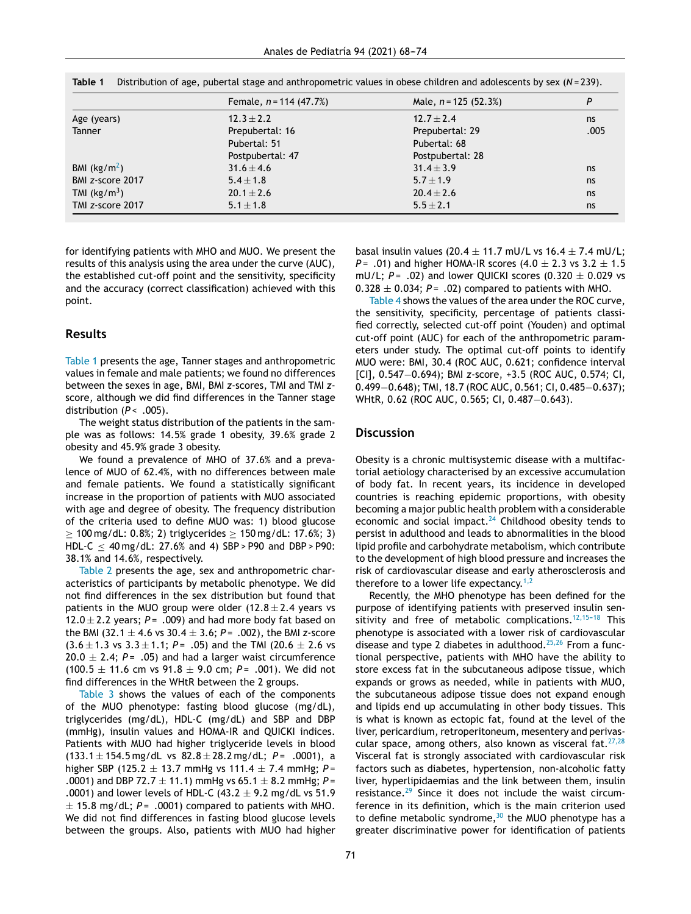|                                                    | Female, $n = 114$ (47.7%)<br>$12.3 \pm 2.2$ | Male, $n = 125$ (52.3%) | P    |
|----------------------------------------------------|---------------------------------------------|-------------------------|------|
| Age (years)                                        |                                             | $12.7 \pm 2.4$          | ns   |
| <b>Tanner</b>                                      | Prepubertal: 16                             | Prepubertal: 29         | .005 |
|                                                    | Pubertal: 51                                | Pubertal: 68            |      |
|                                                    | Postpubertal: 47                            | Postpubertal: 28        |      |
| BMI $(kg/m2)$                                      | $31.6 \pm 4.6$                              | $31.4 \pm 3.9$          | ns   |
| BMI z-score 2017                                   | $5.4 \pm 1.8$                               | $5.7 \pm 1.9$           | ns   |
| TMI $(kg/m3)$                                      | $20.1 \pm 2.6$                              | $20.4 \pm 2.6$          | ns   |
| TMI z-score 2017<br>$5.1 \pm 1.8$<br>$5.5 \pm 2.1$ |                                             |                         | ns   |

**Table 1** Distribution of age, pubertal stage and anthropometric values in obese children and adolescents by sex (*N* = 239).

for identifying patients with MHO and MUO. We present the results of this analysis using the area under the curve (AUC), the established cut-off point and the sensitivity, specificity and the accuracy (correct classification) achieved with this point.

#### **Results**

Table 1 presents the age, Tanner stages and anthropometric values in female and male patients; we found no differences between the sexes in age, BMI, BMI *z*-scores, TMI and TMI *z*score, although we did find differences in the Tanner stage distribution (P < .005).

The weight status distribution of the patients in the sample was as follows: 14.5% grade 1 obesity, 39.6% grade 2 obesity and 45.9% grade 3 obesity.

We found a prevalence of MHO of 37.6% and a prevalence of MUO of 62.4%, with no differences between male and female patients. We found a statistically significant increase in the proportion of patients with MUO associated with age and degree of obesity. The frequency distribution of the criteria used to define MUO was: 1) blood glucose  $> 100 \,\text{mg/dL}$ : 0.8%; 2) triglycerides  $> 150 \,\text{mg/dL}$ : 17.6%; 3) HDL-C  $\leq$  40 mg/dL: 27.6% and 4) SBP > P90 and DBP > P90: 38.1% and 14.6%, respectively.

[Table](#page-4-0) 2 presents the age, sex and anthropometric characteristics of participants by metabolic phenotype. We did not find differences in the sex distribution but found that patients in the MUO group were older  $(12.8 \pm 2.4$  years vs 12.0  $\pm$  2.2 years;  $P = .009$ ) and had more body fat based on the BMI (32.1 ± 4.6 vs 30.4 ± 3.6; *P* = .002), the BMI *z*-score  $(3.6 \pm 1.3 \text{ vs } 3.3 \pm 1.1; P = .05)$  and the TMI  $(20.6 \pm 2.6 \text{ vs } 3.3 \pm 1.1; P = .05)$  $20.0 \pm 2.4$ ;  $P = .05$ ) and had a larger waist circumference (100.5 ± 11.6 cm vs 91.8 ± 9.0 cm; *P* = .001). We did not find differences in the WHtR between the 2 groups.

[Table](#page-4-0) 3 shows the values of each of the components of the MUO phenotype: fasting blood glucose (mg/dL), triglycerides (mg/dL), HDL-C (mg/dL) and SBP and DBP (mmHg), insulin values and HOMA-IR and QUICKI indices. Patients with MUO had higher triglyceride levels in blood (133.1 ± 154.5 mg/dL vs 82.8 ± 28.2 mg/dL; *P* = .0001), a higher SBP (125.2 ± 13.7 mmHg vs 111.4 ± 7.4 mmHg; *P* = .0001) and DBP 72.7 ± 11.1) mmHg vs 65.1 ± 8.2 mmHg; *P* = .0001) and lower levels of HDL-C (43.2  $\pm$  9.2 mg/dL vs 51.9  $\pm$  15.8 mg/dL; P= .0001) compared to patients with MHO. We did not find differences in fasting blood glucose levels between the groups. Also, patients with MUO had higher

basal insulin values (20.4  $\pm$  11.7 mU/L vs 16.4  $\pm$  7.4 mU/L; *P* = .01) and higher HOMA-IR scores  $(4.0 \pm 2.3 \text{ vs } 3.2 \pm 1.5$ mU/L;  $P = .02$ ) and lower QUICKI scores  $(0.320 \pm 0.029 \text{ vs.})$  $0.328 \pm 0.034$ ;  $P = .02$ ) compared to patients with MHO.

[Table](#page-4-0) 4 shows the values of the area under the ROC curve, the sensitivity, specificity, percentage of patients classified correctly, selected cut-off point (Youden) and optimal cut-off point (AUC) for each of the anthropometric parameters under study. The optimal cut-off points to identify MUO were: BMI, 30.4 (ROC AUC, 0.621; confidence interval [CI], 0.547−0.694); BMI *z*-score, +3.5 (ROC AUC, 0.574; CI, 0.499−0.648); TMI, 18.7 (ROC AUC, 0.561; CI, 0.485−0.637); WHtR, 0.62 (ROC AUC, 0.565; CI, 0.487–0.643).

#### **Discussion**

Obesity is a chronic multisystemic disease with a multifactorial aetiology characterised by an excessive accumulation of body fat. In recent years, its incidence in developed countries is reaching epidemic proportions, with obesity becoming a major public health problem with a considerable economic and social impact.<sup>[24](#page-6-0)</sup> Childhood obesity tends to persist in adulthood and leads to abnormalities in the blood lipid profile and carbohydrate metabolism, which contribute to the development of high blood pressure and increases the risk of cardiovascular disease and early atherosclerosis and therefore to a lower life expectancy.<sup>[1,2](#page-5-0)</sup>

Recently, the MHO phenotype has been defined for the purpose of identifying patients with preserved insulin sensitivity and free of metabolic complications.<sup>12,15-18</sup> This phenotype is associated with a lower risk of cardiovascular disease and type 2 diabetes in adulthood.<sup>[25,26](#page-6-0)</sup> From a functional perspective, patients with MHO have the ability to store excess fat in the subcutaneous adipose tissue, which expands or grows as needed, while in patients with MUO, the subcutaneous adipose tissue does not expand enough and lipids end up accumulating in other body tissues. This is what is known as ectopic fat, found at the level of the liver, pericardium, retroperitoneum, mesentery and perivascular space, among others, also known as visceral fat. $27,28$ Visceral fat is strongly associated with cardiovascular risk factors such as diabetes, hypertension, non-alcoholic fatty liver, hyperlipidaemias and the link between them, insulin resistance. $29$  Since it does not include the waist circumference in its definition, which is the main criterion used to define metabolic syndrome,  $30$  the MUO phenotype has a greater discriminative power for identification of patients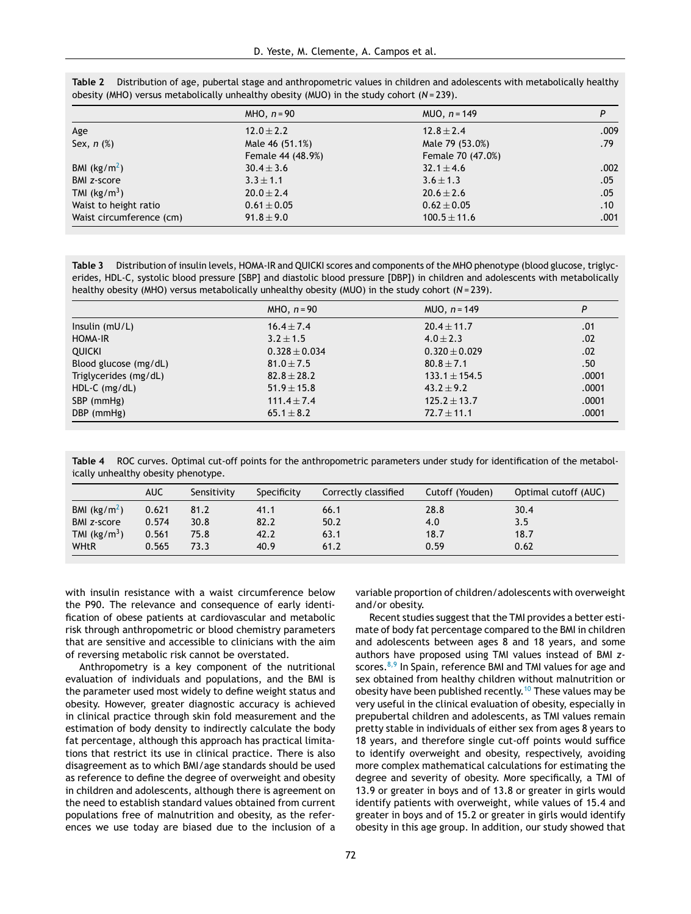|                          | $MHO, n = 90$     | $MUD, n = 149$    | P    |
|--------------------------|-------------------|-------------------|------|
| Age                      | $12.0 \pm 2.2$    | $12.8 \pm 2.4$    | .009 |
| Sex, $n$ $%$             | Male 46 (51.1%)   | Male 79 (53.0%)   | .79  |
|                          | Female 44 (48.9%) | Female 70 (47.0%) |      |
| BMI $(kg/m2)$            | $30.4 \pm 3.6$    | $32.1 \pm 4.6$    | .002 |
| <b>BMI z-score</b>       | $3.3 \pm 1.1$     | $3.6 \pm 1.3$     | .05  |
| TMI $(kg/m3)$            | $20.0 \pm 2.4$    | $20.6 \pm 2.6$    | .05  |
| Waist to height ratio    | $0.61 \pm 0.05$   | $0.62 \pm 0.05$   | .10  |
| Waist circumference (cm) | $91.8 \pm 9.0$    | $100.5 \pm 11.6$  | .001 |

<span id="page-4-0"></span>**Table 2** Distribution of age, pubertal stage and anthropometric values in children and adolescents with metabolically healthy obesity (MHO) versus metabolically unhealthy obesity (MUO) in the study cohort (*N* = 239).

**Table 3** Distribution of insulin levels, HOMA-IR and QUICKI scores and components of the MHO phenotype (blood glucose, triglycerides, HDL-C, systolic blood pressure [SBP] and diastolic blood pressure [DBP]) in children and adolescents with metabolically healthy obesity (MHO) versus metabolically unhealthy obesity (MUO) in the study cohort (*N* = 239).

|                       | $MHO, n=90$       | $MUD, n = 149$    | P     |
|-----------------------|-------------------|-------------------|-------|
| Insulin $(mU/L)$      | $16.4 \pm 7.4$    | $20.4 \pm 11.7$   | .01   |
| HOMA-IR               | $3.2 \pm 1.5$     | $4.0 \pm 2.3$     | .02   |
| <b>QUICKI</b>         | $0.328 \pm 0.034$ | $0.320 \pm 0.029$ | .02   |
| Blood glucose (mg/dL) | $81.0 \pm 7.5$    | $80.8 \pm 7.1$    | .50   |
| Triglycerides (mg/dL) | $82.8 + 28.2$     | $133.1 \pm 154.5$ | .0001 |
| $HDL-C$ (mg/dL)       | $51.9 \pm 15.8$   | $43.2 \pm 9.2$    | .0001 |
| SBP (mmHg)            | $111.4 \pm 7.4$   | $125.2 \pm 13.7$  | .0001 |
| DBP (mmHg)            | 65.1 $\pm$ 8.2    | $72.7 \pm 11.1$   | .0001 |

**Table 4** ROC curves. Optimal cut-off points for the anthropometric parameters under study for identification of the metabolically unhealthy obesity phenotype.

|                    | <b>AUC</b> | Sensitivity | Specificity | Correctly classified | Cutoff (Youden) | Optimal cutoff (AUC) |
|--------------------|------------|-------------|-------------|----------------------|-----------------|----------------------|
| BMI $(kg/m2)$      | 0.621      | 81.2        | 41.1        | 66.1                 | 28.8            | 30.4                 |
| <b>BMI z-score</b> | 0.574      | 30.8        | 82.2        | 50.2                 | 4.0             | 3.5                  |
| TMI $(kg/m3)$      | 0.561      | 75.8        | 42.2        | 63.1                 | 18.7            | 18.7                 |
| <b>WHtR</b>        | 0.565      | 73.3        | 40.9        | 61.2                 | 0.59            | 0.62                 |

with insulin resistance with a waist circumference below the P90. The relevance and consequence of early identification of obese patients at cardiovascular and metabolic risk through anthropometric or blood chemistry parameters that are sensitive and accessible to clinicians with the aim of reversing metabolic risk cannot be overstated.

Anthropometry is a key component of the nutritional evaluation of individuals and populations, and the BMI is the parameter used most widely to define weight status and obesity. However, greater diagnostic accuracy is achieved in clinical practice through skin fold measurement and the estimation of body density to indirectly calculate the body fat percentage, although this approach has practical limitations that restrict its use in clinical practice. There is also disagreement as to which BMI/age standards should be used as reference to define the degree of overweight and obesity in children and adolescents, although there is agreement on the need to establish standard values obtained from current populations free of malnutrition and obesity, as the references we use today are biased due to the inclusion of a

variable proportion of children/adolescents with overweight and/or obesity.

Recent studies suggest that the TMI provides a better estimate of body fat percentage compared to the BMI in children and adolescents between ages 8 and 18 years, and some authors have proposed using TMI values instead of BMI *z*scores. $8,9$  In Spain, reference BMI and TMI values for age and sex obtained from healthy children without malnutrition or obesity have been published recently.<sup>[10](#page-5-0)</sup> These values may be very useful in the clinical evaluation of obesity, especially in prepubertal children and adolescents, as TMI values remain pretty stable in individuals of either sex from ages 8 years to 18 years, and therefore single cut-off points would suffice to identify overweight and obesity, respectively, avoiding more complex mathematical calculations for estimating the degree and severity of obesity. More specifically, a TMI of 13.9 or greater in boys and of 13.8 or greater in girls would identify patients with overweight, while values of 15.4 and greater in boys and of 15.2 or greater in girls would identify obesity in this age group. In addition, our study showed that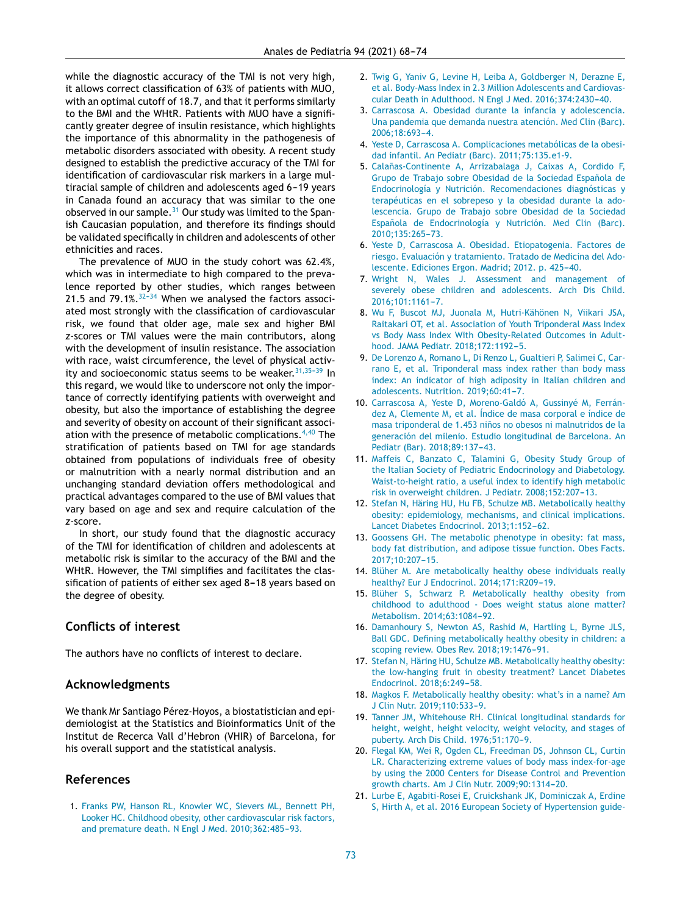<span id="page-5-0"></span>while the diagnostic accuracy of the TMI is not very high, it allows correct classification of 63% of patients with MUO, with an optimal cutoff of 18.7, and that it performs similarly to the BMI and the WHtR. Patients with MUO have a significantly greater degree of insulin resistance, which highlights the importance of this abnormality in the pathogenesis of metabolic disorders associated with obesity. A recent study designed to establish the predictive accuracy of the TMI for identification of cardiovascular risk markers in a large multiracial sample of children and adolescents aged 6-19 years in Canada found an accuracy that was similar to the one observed in our sample. $31$  Our study was limited to the Spanish Caucasian population, and therefore its findings should be validated specifically in children and adolescents of other ethnicities and races.

The prevalence of MUO in the study cohort was 62.4%, which was in intermediate to high compared to the prevalence reported by other studies, which ranges between 21.5 and  $79.1\%$ .  $32-34$  When we analysed the factors associated most strongly with the classification of cardiovascular risk, we found that older age, male sex and higher BMI *z*-scores or TMI values were the main contributors, along with the development of insulin resistance. The association with race, waist circumference, the level of physical activity and socioeconomic status seems to be weaker.  $31,35-39$  In this regard, we would like to underscore not only the importance of correctly identifying patients with overweight and obesity, but also the importance of establishing the degree and severity of obesity on account of their significant association with the presence of metabolic complications. $4,40$  The stratification of patients based on TMI for age standards obtained from populations of individuals free of obesity or malnutrition with a nearly normal distribution and an unchanging standard deviation offers methodological and practical advantages compared to the use of BMI values that vary based on age and sex and require calculation of the *z-*score.

In short, our study found that the diagnostic accuracy of the TMI for identification of children and adolescents at metabolic risk is similar to the accuracy of the BMI and the WHtR. However, the TMI simplifies and facilitates the classification of patients of either sex aged 8-18 years based on the degree of obesity.

# **Conflicts of interest**

The authors have no conflicts of interest to declare.

# **Acknowledgments**

We thank Mr Santiago Pérez-Hoyos, a biostatistician and epidemiologist at the Statistics and Bioinformatics Unit of the Institut de Recerca Vall d'Hebron (VHIR) of Barcelona, for his overall support and the statistical analysis.

## **References**

1. [Franks](http://refhub.elsevier.com/S2173-5743(19)30124-8/sbref0005) [PW,](http://refhub.elsevier.com/S2173-5743(19)30124-8/sbref0005) [Hanson](http://refhub.elsevier.com/S2173-5743(19)30124-8/sbref0005) [RL,](http://refhub.elsevier.com/S2173-5743(19)30124-8/sbref0005) [Knowler](http://refhub.elsevier.com/S2173-5743(19)30124-8/sbref0005) [WC,](http://refhub.elsevier.com/S2173-5743(19)30124-8/sbref0005) [Sievers](http://refhub.elsevier.com/S2173-5743(19)30124-8/sbref0005) [ML,](http://refhub.elsevier.com/S2173-5743(19)30124-8/sbref0005) [Bennett](http://refhub.elsevier.com/S2173-5743(19)30124-8/sbref0005) [PH,](http://refhub.elsevier.com/S2173-5743(19)30124-8/sbref0005) [Looker](http://refhub.elsevier.com/S2173-5743(19)30124-8/sbref0005) [HC.](http://refhub.elsevier.com/S2173-5743(19)30124-8/sbref0005) [Childhood](http://refhub.elsevier.com/S2173-5743(19)30124-8/sbref0005) [obesity,](http://refhub.elsevier.com/S2173-5743(19)30124-8/sbref0005) [other](http://refhub.elsevier.com/S2173-5743(19)30124-8/sbref0005) [cardiovascular](http://refhub.elsevier.com/S2173-5743(19)30124-8/sbref0005) [risk](http://refhub.elsevier.com/S2173-5743(19)30124-8/sbref0005) [factors,](http://refhub.elsevier.com/S2173-5743(19)30124-8/sbref0005) [and](http://refhub.elsevier.com/S2173-5743(19)30124-8/sbref0005) [premature](http://refhub.elsevier.com/S2173-5743(19)30124-8/sbref0005) [death.](http://refhub.elsevier.com/S2173-5743(19)30124-8/sbref0005) [N](http://refhub.elsevier.com/S2173-5743(19)30124-8/sbref0005) [Engl](http://refhub.elsevier.com/S2173-5743(19)30124-8/sbref0005) [J](http://refhub.elsevier.com/S2173-5743(19)30124-8/sbref0005) [Med.](http://refhub.elsevier.com/S2173-5743(19)30124-8/sbref0005) 2010;362:485-93.

- 2. [Twig](http://refhub.elsevier.com/S2173-5743(19)30124-8/sbref0010) [G,](http://refhub.elsevier.com/S2173-5743(19)30124-8/sbref0010) [Yaniv](http://refhub.elsevier.com/S2173-5743(19)30124-8/sbref0010) [G,](http://refhub.elsevier.com/S2173-5743(19)30124-8/sbref0010) [Levine](http://refhub.elsevier.com/S2173-5743(19)30124-8/sbref0010) [H,](http://refhub.elsevier.com/S2173-5743(19)30124-8/sbref0010) [Leiba](http://refhub.elsevier.com/S2173-5743(19)30124-8/sbref0010) [A,](http://refhub.elsevier.com/S2173-5743(19)30124-8/sbref0010) [Goldberger](http://refhub.elsevier.com/S2173-5743(19)30124-8/sbref0010) [N,](http://refhub.elsevier.com/S2173-5743(19)30124-8/sbref0010) [Derazne](http://refhub.elsevier.com/S2173-5743(19)30124-8/sbref0010) [E,](http://refhub.elsevier.com/S2173-5743(19)30124-8/sbref0010) [et](http://refhub.elsevier.com/S2173-5743(19)30124-8/sbref0010) [al.](http://refhub.elsevier.com/S2173-5743(19)30124-8/sbref0010) [Body-Mass](http://refhub.elsevier.com/S2173-5743(19)30124-8/sbref0010) [Index](http://refhub.elsevier.com/S2173-5743(19)30124-8/sbref0010) [in](http://refhub.elsevier.com/S2173-5743(19)30124-8/sbref0010) [2.3](http://refhub.elsevier.com/S2173-5743(19)30124-8/sbref0010) [Million](http://refhub.elsevier.com/S2173-5743(19)30124-8/sbref0010) [Adolescents](http://refhub.elsevier.com/S2173-5743(19)30124-8/sbref0010) [and](http://refhub.elsevier.com/S2173-5743(19)30124-8/sbref0010) [Cardiovas](http://refhub.elsevier.com/S2173-5743(19)30124-8/sbref0010)[cular](http://refhub.elsevier.com/S2173-5743(19)30124-8/sbref0010) [Death](http://refhub.elsevier.com/S2173-5743(19)30124-8/sbref0010) [in](http://refhub.elsevier.com/S2173-5743(19)30124-8/sbref0010) [Adulthood.](http://refhub.elsevier.com/S2173-5743(19)30124-8/sbref0010) [N](http://refhub.elsevier.com/S2173-5743(19)30124-8/sbref0010) [Engl](http://refhub.elsevier.com/S2173-5743(19)30124-8/sbref0010) [J](http://refhub.elsevier.com/S2173-5743(19)30124-8/sbref0010) [Med.](http://refhub.elsevier.com/S2173-5743(19)30124-8/sbref0010) 2016;374:2430-40.
- 3. [Carrascosa](http://refhub.elsevier.com/S2173-5743(19)30124-8/sbref0015) [A.](http://refhub.elsevier.com/S2173-5743(19)30124-8/sbref0015) [Obesidad](http://refhub.elsevier.com/S2173-5743(19)30124-8/sbref0015) [durante](http://refhub.elsevier.com/S2173-5743(19)30124-8/sbref0015) [la](http://refhub.elsevier.com/S2173-5743(19)30124-8/sbref0015) [infancia](http://refhub.elsevier.com/S2173-5743(19)30124-8/sbref0015) [y](http://refhub.elsevier.com/S2173-5743(19)30124-8/sbref0015) [adolescencia.](http://refhub.elsevier.com/S2173-5743(19)30124-8/sbref0015) [Una](http://refhub.elsevier.com/S2173-5743(19)30124-8/sbref0015) [pandemia](http://refhub.elsevier.com/S2173-5743(19)30124-8/sbref0015) [que](http://refhub.elsevier.com/S2173-5743(19)30124-8/sbref0015) [demanda](http://refhub.elsevier.com/S2173-5743(19)30124-8/sbref0015) [nuestra](http://refhub.elsevier.com/S2173-5743(19)30124-8/sbref0015) [atención.](http://refhub.elsevier.com/S2173-5743(19)30124-8/sbref0015) [Med](http://refhub.elsevier.com/S2173-5743(19)30124-8/sbref0015) [Clin](http://refhub.elsevier.com/S2173-5743(19)30124-8/sbref0015) [\(Barc\).](http://refhub.elsevier.com/S2173-5743(19)30124-8/sbref0015) 2006:18:693-4.
- 4. [Yeste](http://refhub.elsevier.com/S2173-5743(19)30124-8/sbref0020) [D,](http://refhub.elsevier.com/S2173-5743(19)30124-8/sbref0020) [Carrascosa](http://refhub.elsevier.com/S2173-5743(19)30124-8/sbref0020) [A.](http://refhub.elsevier.com/S2173-5743(19)30124-8/sbref0020) [Complicaciones](http://refhub.elsevier.com/S2173-5743(19)30124-8/sbref0020) [metabólicas](http://refhub.elsevier.com/S2173-5743(19)30124-8/sbref0020) [de](http://refhub.elsevier.com/S2173-5743(19)30124-8/sbref0020) [la](http://refhub.elsevier.com/S2173-5743(19)30124-8/sbref0020) [obesi](http://refhub.elsevier.com/S2173-5743(19)30124-8/sbref0020)[dad](http://refhub.elsevier.com/S2173-5743(19)30124-8/sbref0020) [infantil.](http://refhub.elsevier.com/S2173-5743(19)30124-8/sbref0020) [An](http://refhub.elsevier.com/S2173-5743(19)30124-8/sbref0020) [Pediatr](http://refhub.elsevier.com/S2173-5743(19)30124-8/sbref0020) [\(Barc\).](http://refhub.elsevier.com/S2173-5743(19)30124-8/sbref0020) [2011;75:135.e1-9.](http://refhub.elsevier.com/S2173-5743(19)30124-8/sbref0020)
- 5. Calañas-Continente [A,](http://refhub.elsevier.com/S2173-5743(19)30124-8/sbref0025) [Arrizabalaga](http://refhub.elsevier.com/S2173-5743(19)30124-8/sbref0025) [J,](http://refhub.elsevier.com/S2173-5743(19)30124-8/sbref0025) [Caixas](http://refhub.elsevier.com/S2173-5743(19)30124-8/sbref0025) A, [Cordido](http://refhub.elsevier.com/S2173-5743(19)30124-8/sbref0025) [F,](http://refhub.elsevier.com/S2173-5743(19)30124-8/sbref0025) [Grupo](http://refhub.elsevier.com/S2173-5743(19)30124-8/sbref0025) [de](http://refhub.elsevier.com/S2173-5743(19)30124-8/sbref0025) [Trabajo](http://refhub.elsevier.com/S2173-5743(19)30124-8/sbref0025) [sobre](http://refhub.elsevier.com/S2173-5743(19)30124-8/sbref0025) [Obesidad](http://refhub.elsevier.com/S2173-5743(19)30124-8/sbref0025) de [la](http://refhub.elsevier.com/S2173-5743(19)30124-8/sbref0025) [Sociedad](http://refhub.elsevier.com/S2173-5743(19)30124-8/sbref0025) Española de [Endocrinología](http://refhub.elsevier.com/S2173-5743(19)30124-8/sbref0025) [y](http://refhub.elsevier.com/S2173-5743(19)30124-8/sbref0025) [Nutrición.](http://refhub.elsevier.com/S2173-5743(19)30124-8/sbref0025) [Recomendaciones](http://refhub.elsevier.com/S2173-5743(19)30124-8/sbref0025) [diagnósticas](http://refhub.elsevier.com/S2173-5743(19)30124-8/sbref0025) [y](http://refhub.elsevier.com/S2173-5743(19)30124-8/sbref0025) [terapéuticas](http://refhub.elsevier.com/S2173-5743(19)30124-8/sbref0025) [en](http://refhub.elsevier.com/S2173-5743(19)30124-8/sbref0025) [el](http://refhub.elsevier.com/S2173-5743(19)30124-8/sbref0025) [sobrepeso](http://refhub.elsevier.com/S2173-5743(19)30124-8/sbref0025) [y](http://refhub.elsevier.com/S2173-5743(19)30124-8/sbref0025) [la](http://refhub.elsevier.com/S2173-5743(19)30124-8/sbref0025) [obesidad](http://refhub.elsevier.com/S2173-5743(19)30124-8/sbref0025) [durante](http://refhub.elsevier.com/S2173-5743(19)30124-8/sbref0025) [la](http://refhub.elsevier.com/S2173-5743(19)30124-8/sbref0025) [ado](http://refhub.elsevier.com/S2173-5743(19)30124-8/sbref0025)[lescencia.](http://refhub.elsevier.com/S2173-5743(19)30124-8/sbref0025) [Grupo](http://refhub.elsevier.com/S2173-5743(19)30124-8/sbref0025) [de](http://refhub.elsevier.com/S2173-5743(19)30124-8/sbref0025) [Trabajo](http://refhub.elsevier.com/S2173-5743(19)30124-8/sbref0025) [sobre](http://refhub.elsevier.com/S2173-5743(19)30124-8/sbref0025) [Obesidad](http://refhub.elsevier.com/S2173-5743(19)30124-8/sbref0025) [de](http://refhub.elsevier.com/S2173-5743(19)30124-8/sbref0025) [la](http://refhub.elsevier.com/S2173-5743(19)30124-8/sbref0025) [Sociedad](http://refhub.elsevier.com/S2173-5743(19)30124-8/sbref0025) Española [de](http://refhub.elsevier.com/S2173-5743(19)30124-8/sbref0025) [Endocrinología](http://refhub.elsevier.com/S2173-5743(19)30124-8/sbref0025) [y](http://refhub.elsevier.com/S2173-5743(19)30124-8/sbref0025) [Nutrición.](http://refhub.elsevier.com/S2173-5743(19)30124-8/sbref0025) [Med](http://refhub.elsevier.com/S2173-5743(19)30124-8/sbref0025) [Clin](http://refhub.elsevier.com/S2173-5743(19)30124-8/sbref0025) [\(Barc\).](http://refhub.elsevier.com/S2173-5743(19)30124-8/sbref0025) 2010:135:265-[73.](http://refhub.elsevier.com/S2173-5743(19)30124-8/sbref0025)
- 6. [Yeste](http://refhub.elsevier.com/S2173-5743(19)30124-8/sbref0030) [D,](http://refhub.elsevier.com/S2173-5743(19)30124-8/sbref0030) [Carrascosa](http://refhub.elsevier.com/S2173-5743(19)30124-8/sbref0030) [A.](http://refhub.elsevier.com/S2173-5743(19)30124-8/sbref0030) [Obesidad.](http://refhub.elsevier.com/S2173-5743(19)30124-8/sbref0030) [Etiopatogenia.](http://refhub.elsevier.com/S2173-5743(19)30124-8/sbref0030) [Factores](http://refhub.elsevier.com/S2173-5743(19)30124-8/sbref0030) [de](http://refhub.elsevier.com/S2173-5743(19)30124-8/sbref0030) [riesgo.](http://refhub.elsevier.com/S2173-5743(19)30124-8/sbref0030) [Evaluación](http://refhub.elsevier.com/S2173-5743(19)30124-8/sbref0030) [y](http://refhub.elsevier.com/S2173-5743(19)30124-8/sbref0030) [tratamiento.](http://refhub.elsevier.com/S2173-5743(19)30124-8/sbref0030) [Tratado](http://refhub.elsevier.com/S2173-5743(19)30124-8/sbref0030) [de](http://refhub.elsevier.com/S2173-5743(19)30124-8/sbref0030) [Medicina](http://refhub.elsevier.com/S2173-5743(19)30124-8/sbref0030) [del](http://refhub.elsevier.com/S2173-5743(19)30124-8/sbref0030) [Ado](http://refhub.elsevier.com/S2173-5743(19)30124-8/sbref0030)[lescente.](http://refhub.elsevier.com/S2173-5743(19)30124-8/sbref0030) [Ediciones](http://refhub.elsevier.com/S2173-5743(19)30124-8/sbref0030) [Ergon.](http://refhub.elsevier.com/S2173-5743(19)30124-8/sbref0030) [Madrid;](http://refhub.elsevier.com/S2173-5743(19)30124-8/sbref0030) [2012.](http://refhub.elsevier.com/S2173-5743(19)30124-8/sbref0030) [p.](http://refhub.elsevier.com/S2173-5743(19)30124-8/sbref0030) [425](http://refhub.elsevier.com/S2173-5743(19)30124-8/sbref0030)[-40.](http://refhub.elsevier.com/S2173-5743(19)30124-8/sbref0030)
- 7. [Wright](http://refhub.elsevier.com/S2173-5743(19)30124-8/sbref0035) [N,](http://refhub.elsevier.com/S2173-5743(19)30124-8/sbref0035) [Wales](http://refhub.elsevier.com/S2173-5743(19)30124-8/sbref0035) [J.](http://refhub.elsevier.com/S2173-5743(19)30124-8/sbref0035) [Assessment](http://refhub.elsevier.com/S2173-5743(19)30124-8/sbref0035) [and](http://refhub.elsevier.com/S2173-5743(19)30124-8/sbref0035) [management](http://refhub.elsevier.com/S2173-5743(19)30124-8/sbref0035) [of](http://refhub.elsevier.com/S2173-5743(19)30124-8/sbref0035) [severely](http://refhub.elsevier.com/S2173-5743(19)30124-8/sbref0035) [obese](http://refhub.elsevier.com/S2173-5743(19)30124-8/sbref0035) [children](http://refhub.elsevier.com/S2173-5743(19)30124-8/sbref0035) [and](http://refhub.elsevier.com/S2173-5743(19)30124-8/sbref0035) [adolescents.](http://refhub.elsevier.com/S2173-5743(19)30124-8/sbref0035) [Arch](http://refhub.elsevier.com/S2173-5743(19)30124-8/sbref0035) [Dis](http://refhub.elsevier.com/S2173-5743(19)30124-8/sbref0035) [Child.](http://refhub.elsevier.com/S2173-5743(19)30124-8/sbref0035) 2016;101:1161-7.
- 8. [Wu](http://refhub.elsevier.com/S2173-5743(19)30124-8/sbref0040) [F,](http://refhub.elsevier.com/S2173-5743(19)30124-8/sbref0040) [Buscot](http://refhub.elsevier.com/S2173-5743(19)30124-8/sbref0040) [MJ,](http://refhub.elsevier.com/S2173-5743(19)30124-8/sbref0040) [Juonala](http://refhub.elsevier.com/S2173-5743(19)30124-8/sbref0040) [M,](http://refhub.elsevier.com/S2173-5743(19)30124-8/sbref0040) [Hutri-Kähönen](http://refhub.elsevier.com/S2173-5743(19)30124-8/sbref0040) [N,](http://refhub.elsevier.com/S2173-5743(19)30124-8/sbref0040) [Viikari](http://refhub.elsevier.com/S2173-5743(19)30124-8/sbref0040) [JSA,](http://refhub.elsevier.com/S2173-5743(19)30124-8/sbref0040) [Raitakari](http://refhub.elsevier.com/S2173-5743(19)30124-8/sbref0040) [OT,](http://refhub.elsevier.com/S2173-5743(19)30124-8/sbref0040) [et](http://refhub.elsevier.com/S2173-5743(19)30124-8/sbref0040) [al.](http://refhub.elsevier.com/S2173-5743(19)30124-8/sbref0040) [Association](http://refhub.elsevier.com/S2173-5743(19)30124-8/sbref0040) [of](http://refhub.elsevier.com/S2173-5743(19)30124-8/sbref0040) [Youth](http://refhub.elsevier.com/S2173-5743(19)30124-8/sbref0040) [Triponderal](http://refhub.elsevier.com/S2173-5743(19)30124-8/sbref0040) [Mass](http://refhub.elsevier.com/S2173-5743(19)30124-8/sbref0040) [Index](http://refhub.elsevier.com/S2173-5743(19)30124-8/sbref0040) [vs](http://refhub.elsevier.com/S2173-5743(19)30124-8/sbref0040) [Body](http://refhub.elsevier.com/S2173-5743(19)30124-8/sbref0040) [Mass](http://refhub.elsevier.com/S2173-5743(19)30124-8/sbref0040) [Index](http://refhub.elsevier.com/S2173-5743(19)30124-8/sbref0040) [With](http://refhub.elsevier.com/S2173-5743(19)30124-8/sbref0040) [Obesity-Related](http://refhub.elsevier.com/S2173-5743(19)30124-8/sbref0040) [Outcomes](http://refhub.elsevier.com/S2173-5743(19)30124-8/sbref0040) [in](http://refhub.elsevier.com/S2173-5743(19)30124-8/sbref0040) [Adult](http://refhub.elsevier.com/S2173-5743(19)30124-8/sbref0040)[hood.](http://refhub.elsevier.com/S2173-5743(19)30124-8/sbref0040) [JAMA](http://refhub.elsevier.com/S2173-5743(19)30124-8/sbref0040) [Pediatr.](http://refhub.elsevier.com/S2173-5743(19)30124-8/sbref0040) 2018;172:1192-5.
- 9. [De](http://refhub.elsevier.com/S2173-5743(19)30124-8/sbref0045) [Lorenzo](http://refhub.elsevier.com/S2173-5743(19)30124-8/sbref0045) [A,](http://refhub.elsevier.com/S2173-5743(19)30124-8/sbref0045) [Romano](http://refhub.elsevier.com/S2173-5743(19)30124-8/sbref0045) [L,](http://refhub.elsevier.com/S2173-5743(19)30124-8/sbref0045) [Di](http://refhub.elsevier.com/S2173-5743(19)30124-8/sbref0045) [Renzo](http://refhub.elsevier.com/S2173-5743(19)30124-8/sbref0045) [L,](http://refhub.elsevier.com/S2173-5743(19)30124-8/sbref0045) [Gualtieri](http://refhub.elsevier.com/S2173-5743(19)30124-8/sbref0045) [P,](http://refhub.elsevier.com/S2173-5743(19)30124-8/sbref0045) [Salimei](http://refhub.elsevier.com/S2173-5743(19)30124-8/sbref0045) [C,](http://refhub.elsevier.com/S2173-5743(19)30124-8/sbref0045) [Car](http://refhub.elsevier.com/S2173-5743(19)30124-8/sbref0045)[rano](http://refhub.elsevier.com/S2173-5743(19)30124-8/sbref0045) [E,](http://refhub.elsevier.com/S2173-5743(19)30124-8/sbref0045) [et](http://refhub.elsevier.com/S2173-5743(19)30124-8/sbref0045) [al.](http://refhub.elsevier.com/S2173-5743(19)30124-8/sbref0045) [Triponderal](http://refhub.elsevier.com/S2173-5743(19)30124-8/sbref0045) [mass](http://refhub.elsevier.com/S2173-5743(19)30124-8/sbref0045) [index](http://refhub.elsevier.com/S2173-5743(19)30124-8/sbref0045) [rather](http://refhub.elsevier.com/S2173-5743(19)30124-8/sbref0045) [than](http://refhub.elsevier.com/S2173-5743(19)30124-8/sbref0045) [body](http://refhub.elsevier.com/S2173-5743(19)30124-8/sbref0045) [mass](http://refhub.elsevier.com/S2173-5743(19)30124-8/sbref0045) [index:](http://refhub.elsevier.com/S2173-5743(19)30124-8/sbref0045) [An](http://refhub.elsevier.com/S2173-5743(19)30124-8/sbref0045) [indicator](http://refhub.elsevier.com/S2173-5743(19)30124-8/sbref0045) [of](http://refhub.elsevier.com/S2173-5743(19)30124-8/sbref0045) [high](http://refhub.elsevier.com/S2173-5743(19)30124-8/sbref0045) [adiposity](http://refhub.elsevier.com/S2173-5743(19)30124-8/sbref0045) [in](http://refhub.elsevier.com/S2173-5743(19)30124-8/sbref0045) [Italian](http://refhub.elsevier.com/S2173-5743(19)30124-8/sbref0045) [children](http://refhub.elsevier.com/S2173-5743(19)30124-8/sbref0045) [and](http://refhub.elsevier.com/S2173-5743(19)30124-8/sbref0045) [adolescents.](http://refhub.elsevier.com/S2173-5743(19)30124-8/sbref0045) [Nutrition.](http://refhub.elsevier.com/S2173-5743(19)30124-8/sbref0045) 2019;60:41-7.
- 10. [Carrascosa](http://refhub.elsevier.com/S2173-5743(19)30124-8/sbref0050) [A,](http://refhub.elsevier.com/S2173-5743(19)30124-8/sbref0050) [Yeste](http://refhub.elsevier.com/S2173-5743(19)30124-8/sbref0050) [D,](http://refhub.elsevier.com/S2173-5743(19)30124-8/sbref0050) [Moreno-Galdó](http://refhub.elsevier.com/S2173-5743(19)30124-8/sbref0050) [A,](http://refhub.elsevier.com/S2173-5743(19)30124-8/sbref0050) [Gussinyé](http://refhub.elsevier.com/S2173-5743(19)30124-8/sbref0050) [M,](http://refhub.elsevier.com/S2173-5743(19)30124-8/sbref0050) [Ferrán](http://refhub.elsevier.com/S2173-5743(19)30124-8/sbref0050)[dez](http://refhub.elsevier.com/S2173-5743(19)30124-8/sbref0050) [A,](http://refhub.elsevier.com/S2173-5743(19)30124-8/sbref0050) [Clemente](http://refhub.elsevier.com/S2173-5743(19)30124-8/sbref0050) [M,](http://refhub.elsevier.com/S2173-5743(19)30124-8/sbref0050) [et](http://refhub.elsevier.com/S2173-5743(19)30124-8/sbref0050) [al.](http://refhub.elsevier.com/S2173-5743(19)30124-8/sbref0050) [Índice](http://refhub.elsevier.com/S2173-5743(19)30124-8/sbref0050) [de](http://refhub.elsevier.com/S2173-5743(19)30124-8/sbref0050) [masa](http://refhub.elsevier.com/S2173-5743(19)30124-8/sbref0050) [corporal](http://refhub.elsevier.com/S2173-5743(19)30124-8/sbref0050) [e](http://refhub.elsevier.com/S2173-5743(19)30124-8/sbref0050) [índice](http://refhub.elsevier.com/S2173-5743(19)30124-8/sbref0050) [de](http://refhub.elsevier.com/S2173-5743(19)30124-8/sbref0050) [masa](http://refhub.elsevier.com/S2173-5743(19)30124-8/sbref0050) [triponderal](http://refhub.elsevier.com/S2173-5743(19)30124-8/sbref0050) [de](http://refhub.elsevier.com/S2173-5743(19)30124-8/sbref0050) [1.453](http://refhub.elsevier.com/S2173-5743(19)30124-8/sbref0050) niños [no](http://refhub.elsevier.com/S2173-5743(19)30124-8/sbref0050) [obesos](http://refhub.elsevier.com/S2173-5743(19)30124-8/sbref0050) [ni](http://refhub.elsevier.com/S2173-5743(19)30124-8/sbref0050) [malnutridos](http://refhub.elsevier.com/S2173-5743(19)30124-8/sbref0050) de [la](http://refhub.elsevier.com/S2173-5743(19)30124-8/sbref0050) [generación](http://refhub.elsevier.com/S2173-5743(19)30124-8/sbref0050) [del](http://refhub.elsevier.com/S2173-5743(19)30124-8/sbref0050) [milenio.](http://refhub.elsevier.com/S2173-5743(19)30124-8/sbref0050) [Estudio](http://refhub.elsevier.com/S2173-5743(19)30124-8/sbref0050) [longitudinal](http://refhub.elsevier.com/S2173-5743(19)30124-8/sbref0050) [de](http://refhub.elsevier.com/S2173-5743(19)30124-8/sbref0050) [Barcelona.](http://refhub.elsevier.com/S2173-5743(19)30124-8/sbref0050) [An](http://refhub.elsevier.com/S2173-5743(19)30124-8/sbref0050) [Pediatr](http://refhub.elsevier.com/S2173-5743(19)30124-8/sbref0050) [\(Bar\).](http://refhub.elsevier.com/S2173-5743(19)30124-8/sbref0050) 2018;89:137-43.
- 11. [Maffeis](http://refhub.elsevier.com/S2173-5743(19)30124-8/sbref0055) [C,](http://refhub.elsevier.com/S2173-5743(19)30124-8/sbref0055) [Banzato](http://refhub.elsevier.com/S2173-5743(19)30124-8/sbref0055) [C,](http://refhub.elsevier.com/S2173-5743(19)30124-8/sbref0055) [Talamini](http://refhub.elsevier.com/S2173-5743(19)30124-8/sbref0055) [G,](http://refhub.elsevier.com/S2173-5743(19)30124-8/sbref0055) [Obesity](http://refhub.elsevier.com/S2173-5743(19)30124-8/sbref0055) [Study](http://refhub.elsevier.com/S2173-5743(19)30124-8/sbref0055) [Group](http://refhub.elsevier.com/S2173-5743(19)30124-8/sbref0055) [of](http://refhub.elsevier.com/S2173-5743(19)30124-8/sbref0055) [the](http://refhub.elsevier.com/S2173-5743(19)30124-8/sbref0055) [Italian](http://refhub.elsevier.com/S2173-5743(19)30124-8/sbref0055) [Society](http://refhub.elsevier.com/S2173-5743(19)30124-8/sbref0055) [of](http://refhub.elsevier.com/S2173-5743(19)30124-8/sbref0055) [Pediatric](http://refhub.elsevier.com/S2173-5743(19)30124-8/sbref0055) [Endocrinology](http://refhub.elsevier.com/S2173-5743(19)30124-8/sbref0055) [and](http://refhub.elsevier.com/S2173-5743(19)30124-8/sbref0055) [Diabetology.](http://refhub.elsevier.com/S2173-5743(19)30124-8/sbref0055) [Waist-to-height](http://refhub.elsevier.com/S2173-5743(19)30124-8/sbref0055) [ratio,](http://refhub.elsevier.com/S2173-5743(19)30124-8/sbref0055) [a](http://refhub.elsevier.com/S2173-5743(19)30124-8/sbref0055) [useful](http://refhub.elsevier.com/S2173-5743(19)30124-8/sbref0055) [index](http://refhub.elsevier.com/S2173-5743(19)30124-8/sbref0055) [to](http://refhub.elsevier.com/S2173-5743(19)30124-8/sbref0055) [identify](http://refhub.elsevier.com/S2173-5743(19)30124-8/sbref0055) [high](http://refhub.elsevier.com/S2173-5743(19)30124-8/sbref0055) [metabolic](http://refhub.elsevier.com/S2173-5743(19)30124-8/sbref0055) [risk](http://refhub.elsevier.com/S2173-5743(19)30124-8/sbref0055) [in](http://refhub.elsevier.com/S2173-5743(19)30124-8/sbref0055) [overweight](http://refhub.elsevier.com/S2173-5743(19)30124-8/sbref0055) [children.](http://refhub.elsevier.com/S2173-5743(19)30124-8/sbref0055) [J](http://refhub.elsevier.com/S2173-5743(19)30124-8/sbref0055) [Pediatr.](http://refhub.elsevier.com/S2173-5743(19)30124-8/sbref0055) 2008;152:207-13.
- 12. [Stefan](http://refhub.elsevier.com/S2173-5743(19)30124-8/sbref0060) [N,](http://refhub.elsevier.com/S2173-5743(19)30124-8/sbref0060) [Häring](http://refhub.elsevier.com/S2173-5743(19)30124-8/sbref0060) [HU,](http://refhub.elsevier.com/S2173-5743(19)30124-8/sbref0060) [Hu](http://refhub.elsevier.com/S2173-5743(19)30124-8/sbref0060) [FB,](http://refhub.elsevier.com/S2173-5743(19)30124-8/sbref0060) [Schulze](http://refhub.elsevier.com/S2173-5743(19)30124-8/sbref0060) [MB.](http://refhub.elsevier.com/S2173-5743(19)30124-8/sbref0060) [Metabolically](http://refhub.elsevier.com/S2173-5743(19)30124-8/sbref0060) [healthy](http://refhub.elsevier.com/S2173-5743(19)30124-8/sbref0060) [obesity:](http://refhub.elsevier.com/S2173-5743(19)30124-8/sbref0060) [epidemiology,](http://refhub.elsevier.com/S2173-5743(19)30124-8/sbref0060) [mechanisms,](http://refhub.elsevier.com/S2173-5743(19)30124-8/sbref0060) [and](http://refhub.elsevier.com/S2173-5743(19)30124-8/sbref0060) [clinical](http://refhub.elsevier.com/S2173-5743(19)30124-8/sbref0060) [implications.](http://refhub.elsevier.com/S2173-5743(19)30124-8/sbref0060) [Lancet](http://refhub.elsevier.com/S2173-5743(19)30124-8/sbref0060) [Diabetes](http://refhub.elsevier.com/S2173-5743(19)30124-8/sbref0060) [Endocrinol.](http://refhub.elsevier.com/S2173-5743(19)30124-8/sbref0060) 2013:1:152-[62.](http://refhub.elsevier.com/S2173-5743(19)30124-8/sbref0060)
- 13. [Goossens](http://refhub.elsevier.com/S2173-5743(19)30124-8/sbref0065) [GH.](http://refhub.elsevier.com/S2173-5743(19)30124-8/sbref0065) [The](http://refhub.elsevier.com/S2173-5743(19)30124-8/sbref0065) [metabolic](http://refhub.elsevier.com/S2173-5743(19)30124-8/sbref0065) [phenotype](http://refhub.elsevier.com/S2173-5743(19)30124-8/sbref0065) [in](http://refhub.elsevier.com/S2173-5743(19)30124-8/sbref0065) [obesity:](http://refhub.elsevier.com/S2173-5743(19)30124-8/sbref0065) [fat](http://refhub.elsevier.com/S2173-5743(19)30124-8/sbref0065) [mass,](http://refhub.elsevier.com/S2173-5743(19)30124-8/sbref0065) [body](http://refhub.elsevier.com/S2173-5743(19)30124-8/sbref0065) [fat](http://refhub.elsevier.com/S2173-5743(19)30124-8/sbref0065) [distribution,](http://refhub.elsevier.com/S2173-5743(19)30124-8/sbref0065) [and](http://refhub.elsevier.com/S2173-5743(19)30124-8/sbref0065) [adipose](http://refhub.elsevier.com/S2173-5743(19)30124-8/sbref0065) [tissue](http://refhub.elsevier.com/S2173-5743(19)30124-8/sbref0065) [function.](http://refhub.elsevier.com/S2173-5743(19)30124-8/sbref0065) [Obes](http://refhub.elsevier.com/S2173-5743(19)30124-8/sbref0065) [Facts.](http://refhub.elsevier.com/S2173-5743(19)30124-8/sbref0065) [2017;10:207](http://refhub.elsevier.com/S2173-5743(19)30124-8/sbref0065)-[15.](http://refhub.elsevier.com/S2173-5743(19)30124-8/sbref0065)
- 14. [Blüher](http://refhub.elsevier.com/S2173-5743(19)30124-8/sbref0070) [M.](http://refhub.elsevier.com/S2173-5743(19)30124-8/sbref0070) [Are](http://refhub.elsevier.com/S2173-5743(19)30124-8/sbref0070) [metabolically](http://refhub.elsevier.com/S2173-5743(19)30124-8/sbref0070) [healthy](http://refhub.elsevier.com/S2173-5743(19)30124-8/sbref0070) [obese](http://refhub.elsevier.com/S2173-5743(19)30124-8/sbref0070) [individuals](http://refhub.elsevier.com/S2173-5743(19)30124-8/sbref0070) [really](http://refhub.elsevier.com/S2173-5743(19)30124-8/sbref0070) [healthy?](http://refhub.elsevier.com/S2173-5743(19)30124-8/sbref0070) [Eur](http://refhub.elsevier.com/S2173-5743(19)30124-8/sbref0070) [J](http://refhub.elsevier.com/S2173-5743(19)30124-8/sbref0070) [Endocrinol.](http://refhub.elsevier.com/S2173-5743(19)30124-8/sbref0070) [2014;171:R209](http://refhub.elsevier.com/S2173-5743(19)30124-8/sbref0070)-[19.](http://refhub.elsevier.com/S2173-5743(19)30124-8/sbref0070)
- 15. [Blüher](http://refhub.elsevier.com/S2173-5743(19)30124-8/sbref0075) [S,](http://refhub.elsevier.com/S2173-5743(19)30124-8/sbref0075) [Schwarz](http://refhub.elsevier.com/S2173-5743(19)30124-8/sbref0075) [P.](http://refhub.elsevier.com/S2173-5743(19)30124-8/sbref0075) [Metabolically](http://refhub.elsevier.com/S2173-5743(19)30124-8/sbref0075) [healthy](http://refhub.elsevier.com/S2173-5743(19)30124-8/sbref0075) [obesity](http://refhub.elsevier.com/S2173-5743(19)30124-8/sbref0075) [from](http://refhub.elsevier.com/S2173-5743(19)30124-8/sbref0075) [childhood](http://refhub.elsevier.com/S2173-5743(19)30124-8/sbref0075) [to](http://refhub.elsevier.com/S2173-5743(19)30124-8/sbref0075) [adulthood](http://refhub.elsevier.com/S2173-5743(19)30124-8/sbref0075) [-](http://refhub.elsevier.com/S2173-5743(19)30124-8/sbref0075) [Does](http://refhub.elsevier.com/S2173-5743(19)30124-8/sbref0075) [weight](http://refhub.elsevier.com/S2173-5743(19)30124-8/sbref0075) [status](http://refhub.elsevier.com/S2173-5743(19)30124-8/sbref0075) [alone](http://refhub.elsevier.com/S2173-5743(19)30124-8/sbref0075) [matter?](http://refhub.elsevier.com/S2173-5743(19)30124-8/sbref0075) [Metabolism.](http://refhub.elsevier.com/S2173-5743(19)30124-8/sbref0075) 2014;63:1084-92.
- 16. [Damanhoury](http://refhub.elsevier.com/S2173-5743(19)30124-8/sbref0080) [S,](http://refhub.elsevier.com/S2173-5743(19)30124-8/sbref0080) [Newton](http://refhub.elsevier.com/S2173-5743(19)30124-8/sbref0080) [AS,](http://refhub.elsevier.com/S2173-5743(19)30124-8/sbref0080) [Rashid](http://refhub.elsevier.com/S2173-5743(19)30124-8/sbref0080) [M,](http://refhub.elsevier.com/S2173-5743(19)30124-8/sbref0080) [Hartling](http://refhub.elsevier.com/S2173-5743(19)30124-8/sbref0080) [L,](http://refhub.elsevier.com/S2173-5743(19)30124-8/sbref0080) [Byrne](http://refhub.elsevier.com/S2173-5743(19)30124-8/sbref0080) [JLS,](http://refhub.elsevier.com/S2173-5743(19)30124-8/sbref0080) [Ball](http://refhub.elsevier.com/S2173-5743(19)30124-8/sbref0080) [GDC.](http://refhub.elsevier.com/S2173-5743(19)30124-8/sbref0080) [Defining](http://refhub.elsevier.com/S2173-5743(19)30124-8/sbref0080) [metabolically](http://refhub.elsevier.com/S2173-5743(19)30124-8/sbref0080) [healthy](http://refhub.elsevier.com/S2173-5743(19)30124-8/sbref0080) [obesity](http://refhub.elsevier.com/S2173-5743(19)30124-8/sbref0080) [in](http://refhub.elsevier.com/S2173-5743(19)30124-8/sbref0080) [children:](http://refhub.elsevier.com/S2173-5743(19)30124-8/sbref0080) [a](http://refhub.elsevier.com/S2173-5743(19)30124-8/sbref0080) [scoping](http://refhub.elsevier.com/S2173-5743(19)30124-8/sbref0080) [review.](http://refhub.elsevier.com/S2173-5743(19)30124-8/sbref0080) [Obes](http://refhub.elsevier.com/S2173-5743(19)30124-8/sbref0080) [Rev.](http://refhub.elsevier.com/S2173-5743(19)30124-8/sbref0080) 2018;19:1476-91.
- 17. [Stefan](http://refhub.elsevier.com/S2173-5743(19)30124-8/sbref0085) [N,](http://refhub.elsevier.com/S2173-5743(19)30124-8/sbref0085) [Häring](http://refhub.elsevier.com/S2173-5743(19)30124-8/sbref0085) [HU,](http://refhub.elsevier.com/S2173-5743(19)30124-8/sbref0085) [Schulze](http://refhub.elsevier.com/S2173-5743(19)30124-8/sbref0085) [MB.](http://refhub.elsevier.com/S2173-5743(19)30124-8/sbref0085) [Metabolically](http://refhub.elsevier.com/S2173-5743(19)30124-8/sbref0085) [healthy](http://refhub.elsevier.com/S2173-5743(19)30124-8/sbref0085) [obesity:](http://refhub.elsevier.com/S2173-5743(19)30124-8/sbref0085) [the](http://refhub.elsevier.com/S2173-5743(19)30124-8/sbref0085) [low-hanging](http://refhub.elsevier.com/S2173-5743(19)30124-8/sbref0085) [fruit](http://refhub.elsevier.com/S2173-5743(19)30124-8/sbref0085) [in](http://refhub.elsevier.com/S2173-5743(19)30124-8/sbref0085) [obesity](http://refhub.elsevier.com/S2173-5743(19)30124-8/sbref0085) [treatment?](http://refhub.elsevier.com/S2173-5743(19)30124-8/sbref0085) [Lancet](http://refhub.elsevier.com/S2173-5743(19)30124-8/sbref0085) [Diabetes](http://refhub.elsevier.com/S2173-5743(19)30124-8/sbref0085) [Endocrinol.](http://refhub.elsevier.com/S2173-5743(19)30124-8/sbref0085) 2018;6:249-58.
- 18. [Magkos](http://refhub.elsevier.com/S2173-5743(19)30124-8/sbref0090) [F.](http://refhub.elsevier.com/S2173-5743(19)30124-8/sbref0090) [Metabolically](http://refhub.elsevier.com/S2173-5743(19)30124-8/sbref0090) [healthy](http://refhub.elsevier.com/S2173-5743(19)30124-8/sbref0090) [obesity:](http://refhub.elsevier.com/S2173-5743(19)30124-8/sbref0090) [what's](http://refhub.elsevier.com/S2173-5743(19)30124-8/sbref0090) [in](http://refhub.elsevier.com/S2173-5743(19)30124-8/sbref0090) [a](http://refhub.elsevier.com/S2173-5743(19)30124-8/sbref0090) [name?](http://refhub.elsevier.com/S2173-5743(19)30124-8/sbref0090) [Am](http://refhub.elsevier.com/S2173-5743(19)30124-8/sbref0090) [J](http://refhub.elsevier.com/S2173-5743(19)30124-8/sbref0090) [Clin](http://refhub.elsevier.com/S2173-5743(19)30124-8/sbref0090) [Nutr.](http://refhub.elsevier.com/S2173-5743(19)30124-8/sbref0090) 2019;110:533-9.
- 19. [Tanner](http://refhub.elsevier.com/S2173-5743(19)30124-8/sbref0095) [JM,](http://refhub.elsevier.com/S2173-5743(19)30124-8/sbref0095) [Whitehouse](http://refhub.elsevier.com/S2173-5743(19)30124-8/sbref0095) [RH.](http://refhub.elsevier.com/S2173-5743(19)30124-8/sbref0095) [Clinical](http://refhub.elsevier.com/S2173-5743(19)30124-8/sbref0095) [longitudinal](http://refhub.elsevier.com/S2173-5743(19)30124-8/sbref0095) [standards](http://refhub.elsevier.com/S2173-5743(19)30124-8/sbref0095) [for](http://refhub.elsevier.com/S2173-5743(19)30124-8/sbref0095) [height,](http://refhub.elsevier.com/S2173-5743(19)30124-8/sbref0095) [weight,](http://refhub.elsevier.com/S2173-5743(19)30124-8/sbref0095) [height](http://refhub.elsevier.com/S2173-5743(19)30124-8/sbref0095) [velocity,](http://refhub.elsevier.com/S2173-5743(19)30124-8/sbref0095) [weight](http://refhub.elsevier.com/S2173-5743(19)30124-8/sbref0095) [velocity,](http://refhub.elsevier.com/S2173-5743(19)30124-8/sbref0095) [and](http://refhub.elsevier.com/S2173-5743(19)30124-8/sbref0095) [stages](http://refhub.elsevier.com/S2173-5743(19)30124-8/sbref0095) [of](http://refhub.elsevier.com/S2173-5743(19)30124-8/sbref0095) [puberty.](http://refhub.elsevier.com/S2173-5743(19)30124-8/sbref0095) [Arch](http://refhub.elsevier.com/S2173-5743(19)30124-8/sbref0095) [Dis](http://refhub.elsevier.com/S2173-5743(19)30124-8/sbref0095) [Child.](http://refhub.elsevier.com/S2173-5743(19)30124-8/sbref0095) 1976;51:170-9.
- 20. [Flegal](http://refhub.elsevier.com/S2173-5743(19)30124-8/sbref0100) [KM,](http://refhub.elsevier.com/S2173-5743(19)30124-8/sbref0100) [Wei](http://refhub.elsevier.com/S2173-5743(19)30124-8/sbref0100) [R,](http://refhub.elsevier.com/S2173-5743(19)30124-8/sbref0100) [Ogden](http://refhub.elsevier.com/S2173-5743(19)30124-8/sbref0100) [CL,](http://refhub.elsevier.com/S2173-5743(19)30124-8/sbref0100) [Freedman](http://refhub.elsevier.com/S2173-5743(19)30124-8/sbref0100) [DS,](http://refhub.elsevier.com/S2173-5743(19)30124-8/sbref0100) [Johnson](http://refhub.elsevier.com/S2173-5743(19)30124-8/sbref0100) [CL,](http://refhub.elsevier.com/S2173-5743(19)30124-8/sbref0100) [Curtin](http://refhub.elsevier.com/S2173-5743(19)30124-8/sbref0100) [LR.](http://refhub.elsevier.com/S2173-5743(19)30124-8/sbref0100) [Characterizing](http://refhub.elsevier.com/S2173-5743(19)30124-8/sbref0100) [extreme](http://refhub.elsevier.com/S2173-5743(19)30124-8/sbref0100) [values](http://refhub.elsevier.com/S2173-5743(19)30124-8/sbref0100) [of](http://refhub.elsevier.com/S2173-5743(19)30124-8/sbref0100) [body](http://refhub.elsevier.com/S2173-5743(19)30124-8/sbref0100) [mass](http://refhub.elsevier.com/S2173-5743(19)30124-8/sbref0100) [index-for-age](http://refhub.elsevier.com/S2173-5743(19)30124-8/sbref0100) [by](http://refhub.elsevier.com/S2173-5743(19)30124-8/sbref0100) [using](http://refhub.elsevier.com/S2173-5743(19)30124-8/sbref0100) [the](http://refhub.elsevier.com/S2173-5743(19)30124-8/sbref0100) [2000](http://refhub.elsevier.com/S2173-5743(19)30124-8/sbref0100) [Centers](http://refhub.elsevier.com/S2173-5743(19)30124-8/sbref0100) [for](http://refhub.elsevier.com/S2173-5743(19)30124-8/sbref0100) [Disease](http://refhub.elsevier.com/S2173-5743(19)30124-8/sbref0100) [Control](http://refhub.elsevier.com/S2173-5743(19)30124-8/sbref0100) [and](http://refhub.elsevier.com/S2173-5743(19)30124-8/sbref0100) [Prevention](http://refhub.elsevier.com/S2173-5743(19)30124-8/sbref0100) [growth](http://refhub.elsevier.com/S2173-5743(19)30124-8/sbref0100) [charts.](http://refhub.elsevier.com/S2173-5743(19)30124-8/sbref0100) [Am](http://refhub.elsevier.com/S2173-5743(19)30124-8/sbref0100) [J](http://refhub.elsevier.com/S2173-5743(19)30124-8/sbref0100) [Clin](http://refhub.elsevier.com/S2173-5743(19)30124-8/sbref0100) [Nutr.](http://refhub.elsevier.com/S2173-5743(19)30124-8/sbref0100) 2009;90:1314-20.
- 21. [Lurbe](http://refhub.elsevier.com/S2173-5743(19)30124-8/sbref0105) [E,](http://refhub.elsevier.com/S2173-5743(19)30124-8/sbref0105) [Agabiti-Rosei](http://refhub.elsevier.com/S2173-5743(19)30124-8/sbref0105) [E,](http://refhub.elsevier.com/S2173-5743(19)30124-8/sbref0105) [Cruickshank](http://refhub.elsevier.com/S2173-5743(19)30124-8/sbref0105) [JK,](http://refhub.elsevier.com/S2173-5743(19)30124-8/sbref0105) [Dominiczak](http://refhub.elsevier.com/S2173-5743(19)30124-8/sbref0105) [A,](http://refhub.elsevier.com/S2173-5743(19)30124-8/sbref0105) [Erdine](http://refhub.elsevier.com/S2173-5743(19)30124-8/sbref0105) [S,](http://refhub.elsevier.com/S2173-5743(19)30124-8/sbref0105) [Hirth](http://refhub.elsevier.com/S2173-5743(19)30124-8/sbref0105) [A,](http://refhub.elsevier.com/S2173-5743(19)30124-8/sbref0105) [et](http://refhub.elsevier.com/S2173-5743(19)30124-8/sbref0105) [al.](http://refhub.elsevier.com/S2173-5743(19)30124-8/sbref0105) [2016](http://refhub.elsevier.com/S2173-5743(19)30124-8/sbref0105) [European](http://refhub.elsevier.com/S2173-5743(19)30124-8/sbref0105) [Society](http://refhub.elsevier.com/S2173-5743(19)30124-8/sbref0105) [of](http://refhub.elsevier.com/S2173-5743(19)30124-8/sbref0105) [Hypertension](http://refhub.elsevier.com/S2173-5743(19)30124-8/sbref0105) [guide-](http://refhub.elsevier.com/S2173-5743(19)30124-8/sbref0105)